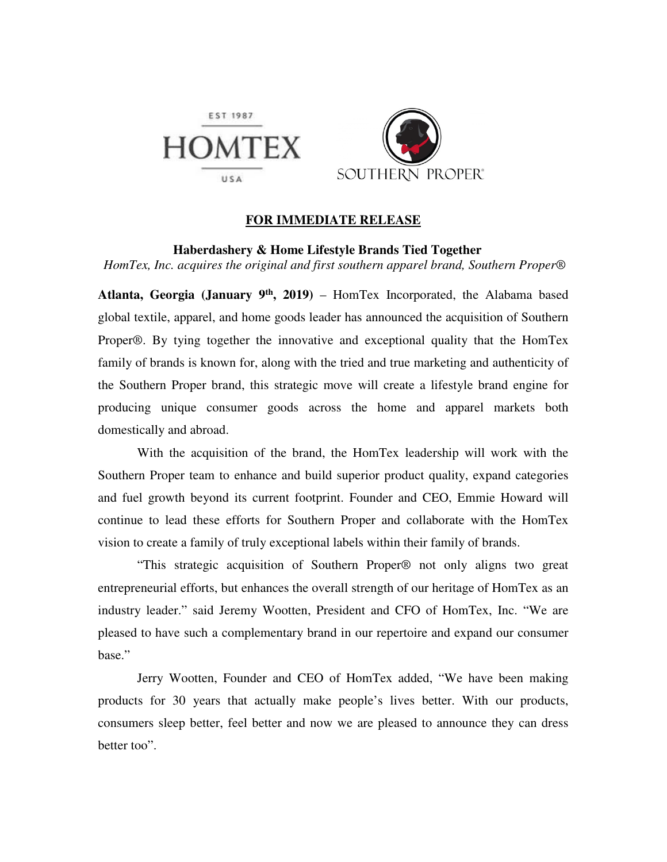

## **FOR IMMEDIATE RELEASE**

 **Haberdashery & Home Lifestyle Brands Tied Together**   *HomTex, Inc. acquires the original and first southern apparel brand, Southern Proper*®

**Atlanta, Georgia (January 9th, 2019)** – HomTex Incorporated, the Alabama based global textile, apparel, and home goods leader has announced the acquisition of Southern Proper®. By tying together the innovative and exceptional quality that the HomTex family of brands is known for, along with the tried and true marketing and authenticity of the Southern Proper brand, this strategic move will create a lifestyle brand engine for producing unique consumer goods across the home and apparel markets both domestically and abroad.

 With the acquisition of the brand, the HomTex leadership will work with the Southern Proper team to enhance and build superior product quality, expand categories and fuel growth beyond its current footprint. Founder and CEO, Emmie Howard will continue to lead these efforts for Southern Proper and collaborate with the HomTex vision to create a family of truly exceptional labels within their family of brands.

"This strategic acquisition of Southern Proper® not only aligns two great entrepreneurial efforts, but enhances the overall strength of our heritage of HomTex as an industry leader." said Jeremy Wootten, President and CFO of HomTex, Inc. "We are pleased to have such a complementary brand in our repertoire and expand our consumer base."

 Jerry Wootten, Founder and CEO of HomTex added, "We have been making products for 30 years that actually make people's lives better. With our products, consumers sleep better, feel better and now we are pleased to announce they can dress better too".